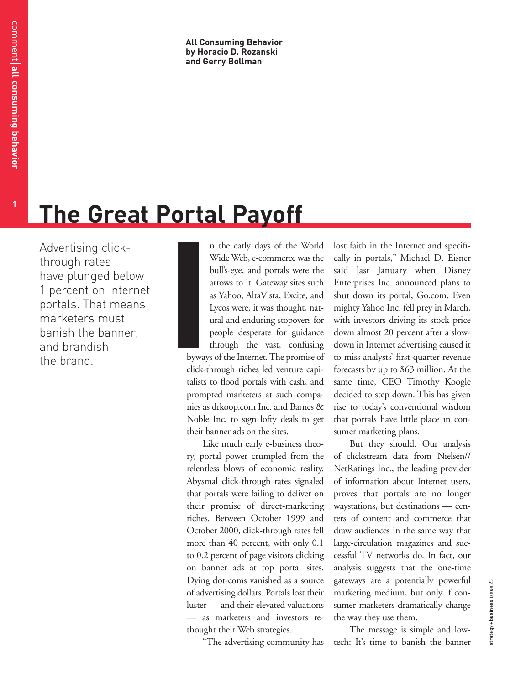**All Consuming Behavior by Horacio D. Rozanski and Gerry Bollman**

# **The Great Portal Payoff**

Advertising clickthrough rates have plunged below 1 percent on Internet portals. That means marketers must banish the banner, and brandish the brand.

n the early days of the World Wide Web, e-commerce was the bull's-eye, and portals were the arrows to it. Gateway sites such as Yahoo, AltaVista, Excite, and Lycos were, it was thought, natural and enduring stopovers for people desperate for guidance through the vast, confusing byways of the Internet. The promise of click-through riches led venture capitalists to flood portals with cash, and prompted marketers at such companies as drkoop.com Inc. and Barnes & Noble Inc. to sign lofty deals to get their banner ads on the sites. **I**

Like much early e-business theory, portal power crumpled from the relentless blows of economic reality. Abysmal click-through rates signaled that portals were failing to deliver on their promise of direct-marketing riches. Between October 1999 and October 2000, click-through rates fell more than 40 percent, with only 0.1 to 0.2 percent of page visitors clicking on banner ads at top portal sites. Dying dot-coms vanished as a source of advertising dollars. Portals lost their luster — and their elevated valuations — as marketers and investors rethought their Web strategies.

"The advertising community has

lost faith in the Internet and specifically in portals," Michael D. Eisner said last January when Disney Enterprises Inc. announced plans to shut down its portal, Go.com. Even mighty Yahoo Inc. fell prey in March, with investors driving its stock price down almost 20 percent after a slowdown in Internet advertising caused it to miss analysts' first-quarter revenue forecasts by up to \$63 million. At the same time, CEO Timothy Koogle decided to step down. This has given rise to today's conventional wisdom that portals have little place in consumer marketing plans.

But they should. Our analysis of clickstream data from Nielsen// NetRatings Inc., the leading provider of information about Internet users, proves that portals are no longer waystations, but destinations — centers of content and commerce that draw audiences in the same way that large-circulation magazines and successful TV networks do. In fact, our analysis suggests that the one-time gateways are a potentially powerful marketing medium, but only if consumer marketers dramatically change the way they use them.

The message is simple and lowtech: It's time to banish the banner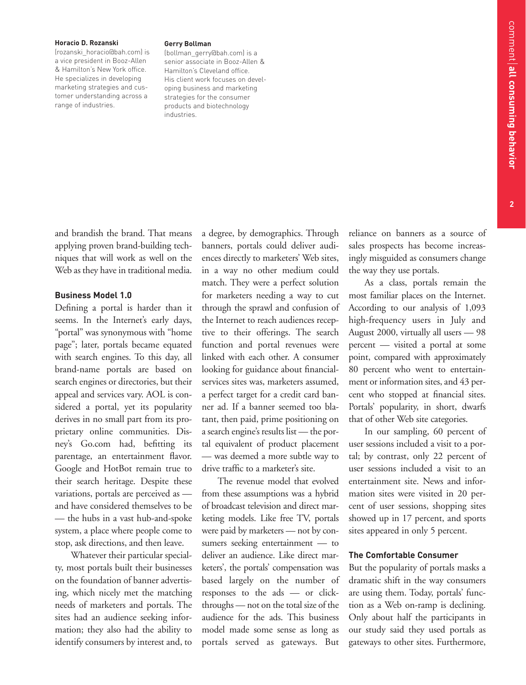**2**

### **Horacio D. Rozanski**

(rozanski\_horacio@bah.com) is a vice president in Booz-Allen & Hamilton's New York office. He specializes in developing marketing strategies and customer understanding across a range of industries.

#### **Gerry Bollman**

(bollman\_gerry@bah.com) is a senior associate in Booz-Allen & Hamilton's Cleveland office. His client work focuses on developing business and marketing strategies for the consumer products and biotechnology industries.

and brandish the brand. That means applying proven brand-building techniques that will work as well on the Web as they have in traditional media.

### **Business Model 1.0**

Defining a portal is harder than it seems. In the Internet's early days, "portal" was synonymous with "home page"; later, portals became equated with search engines. To this day, all brand-name portals are based on search engines or directories, but their appeal and services vary. AOL is considered a portal, yet its popularity derives in no small part from its proprietary online communities. Disney's Go.com had, befitting its parentage, an entertainment flavor. Google and HotBot remain true to their search heritage. Despite these variations, portals are perceived as and have considered themselves to be — the hubs in a vast hub-and-spoke system, a place where people come to stop, ask directions, and then leave.

Whatever their particular specialty, most portals built their businesses on the foundation of banner advertising, which nicely met the matching needs of marketers and portals. The sites had an audience seeking information; they also had the ability to identify consumers by interest and, to a degree, by demographics. Through banners, portals could deliver audiences directly to marketers' Web sites, in a way no other medium could match. They were a perfect solution for marketers needing a way to cut through the sprawl and confusion of the Internet to reach audiences receptive to their offerings. The search function and portal revenues were linked with each other. A consumer looking for guidance about financialservices sites was, marketers assumed, a perfect target for a credit card banner ad. If a banner seemed too blatant, then paid, prime positioning on a search engine's results list — the portal equivalent of product placement — was deemed a more subtle way to drive traffic to a marketer's site.

The revenue model that evolved from these assumptions was a hybrid of broadcast television and direct marketing models. Like free TV, portals were paid by marketers — not by consumers seeking entertainment — to deliver an audience. Like direct marketers', the portals' compensation was based largely on the number of responses to the ads — or clickthroughs — not on the total size of the audience for the ads. This business model made some sense as long as portals served as gateways. But

reliance on banners as a source of sales prospects has become increasingly misguided as consumers change the way they use portals.

As a class, portals remain the most familiar places on the Internet. According to our analysis of 1,093 high-frequency users in July and August 2000, virtually all users — 98 percent — visited a portal at some point, compared with approximately 80 percent who went to entertainment or information sites, and 43 percent who stopped at financial sites. Portals' popularity, in short, dwarfs that of other Web site categories.

In our sampling, 60 percent of user sessions included a visit to a portal; by contrast, only 22 percent of user sessions included a visit to an entertainment site. News and information sites were visited in 20 percent of user sessions, shopping sites showed up in 17 percent, and sports sites appeared in only 5 percent.

# **The Comfortable Consumer**

But the popularity of portals masks a dramatic shift in the way consumers are using them. Today, portals' function as a Web on-ramp is declining. Only about half the participants in our study said they used portals as gateways to other sites. Furthermore,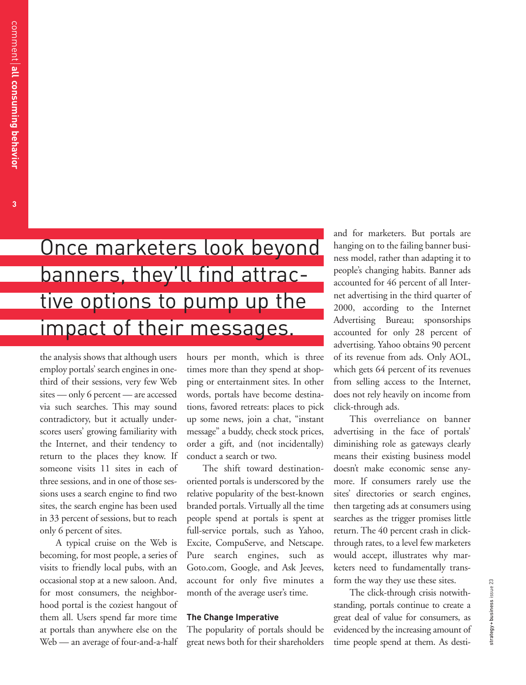**3**

Once marketers look beyond banners, they'll find attractive options to pump up the impact of their messages.

the analysis shows that although users employ portals' search engines in onethird of their sessions, very few Web sites — only 6 percent — are accessed via such searches. This may sound contradictory, but it actually underscores users' growing familiarity with the Internet, and their tendency to return to the places they know. If someone visits 11 sites in each of three sessions, and in one of those sessions uses a search engine to find two sites, the search engine has been used in 33 percent of sessions, but to reach only 6 percent of sites.

A typical cruise on the Web is becoming, for most people, a series of visits to friendly local pubs, with an occasional stop at a new saloon. And, for most consumers, the neighborhood portal is the coziest hangout of them all. Users spend far more time at portals than anywhere else on the Web — an average of four-and-a-half hours per month, which is three times more than they spend at shopping or entertainment sites. In other words, portals have become destinations, favored retreats: places to pick up some news, join a chat, "instant message" a buddy, check stock prices, order a gift, and (not incidentally) conduct a search or two.

The shift toward destinationoriented portals is underscored by the relative popularity of the best-known branded portals. Virtually all the time people spend at portals is spent at full-service portals, such as Yahoo, Excite, CompuServe, and Netscape. Pure search engines, such as Goto.com, Google, and Ask Jeeves, account for only five minutes a month of the average user's time.

## **The Change Imperative**

The popularity of portals should be great news both for their shareholders and for marketers. But portals are hanging on to the failing banner business model, rather than adapting it to people's changing habits. Banner ads accounted for 46 percent of all Internet advertising in the third quarter of 2000, according to the Internet Advertising Bureau; sponsorships accounted for only 28 percent of advertising. Yahoo obtains 90 percent of its revenue from ads. Only AOL, which gets 64 percent of its revenues from selling access to the Internet, does not rely heavily on income from click-through ads.

This overreliance on banner advertising in the face of portals' diminishing role as gateways clearly means their existing business model doesn't make economic sense anymore. If consumers rarely use the sites' directories or search engines, then targeting ads at consumers using searches as the trigger promises little return. The 40 percent crash in clickthrough rates, to a level few marketers would accept, illustrates why marketers need to fundamentally transform the way they use these sites.

The click-through crisis notwithstanding, portals continue to create a great deal of value for consumers, as evidenced by the increasing amount of time people spend at them. As desti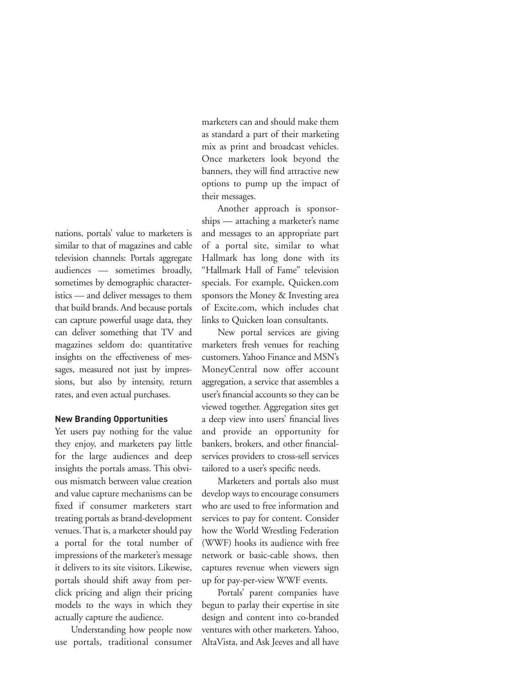marketers can and should make them as standard a part of their marketing mix as print and broadcast vehicles. Once marketers look beyond the banners, they will find attractive new options to pump up the impact of their messages.

Another approach is sponsorships — attaching a marketer's name and messages to an appropriate part of a portal site, similar to what Hallmark has long done with its "Hallmark Hall of Fame" television specials. For example, Quicken.com sponsors the Money & Investing area of Excite.com, which includes chat links to Quicken loan consultants.

New portal services are giving marketers fresh venues for reaching customers. Yahoo Finance and MSN's MoneyCentral now offer account aggregation, a service that assembles a user's financial accounts so they can be viewed together. Aggregation sites get a deep view into users' financial lives and provide an opportunity for bankers, brokers, and other financialservices providers to cross-sell services tailored to a user's specific needs.

Marketers and portals also must develop ways to encourage consumers who are used to free information and services to pay for content. Consider how the World Wrestling Federation (WWF) hooks its audience with free network or basic-cable shows, then captures revenue when viewers sign up for pay-per-view WWF events.

Portals' parent companies have begun to parlay their expertise in site design and content into co-branded ventures with other marketers. Yahoo, AltaVista, and Ask Jeeves and all have

nations, portals' value to marketers is similar to that of magazines and cable television channels: Portals aggregate audiences — sometimes broadly, sometimes by demographic characteristics — and deliver messages to them that build brands. And because portals can capture powerful usage data, they can deliver something that TV and magazines seldom do: quantitative insights on the effectiveness of messages, measured not just by impressions, but also by intensity, return rates, and even actual purchases.

## **New Branding Opportunities**

Yet users pay nothing for the value they enjoy, and marketers pay little for the large audiences and deep insights the portals amass. This obvious mismatch between value creation and value capture mechanisms can be fixed if consumer marketers start treating portals as brand-development venues. That is, a marketer should pay a portal for the total number of impressions of the marketer's message it delivers to its site visitors. Likewise, portals should shift away from perclick pricing and align their pricing models to the ways in which they actually capture the audience.

Understanding how people now use portals, traditional consumer